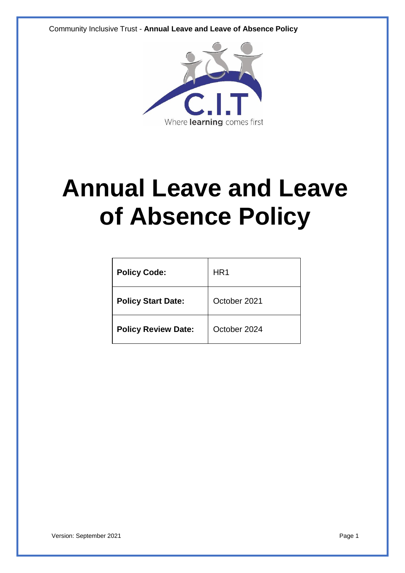

# **Annual Leave and Leave of Absence Policy**

| <b>Policy Code:</b>        | HR <sub>1</sub> |
|----------------------------|-----------------|
| <b>Policy Start Date:</b>  | October 2021    |
| <b>Policy Review Date:</b> | October 2024    |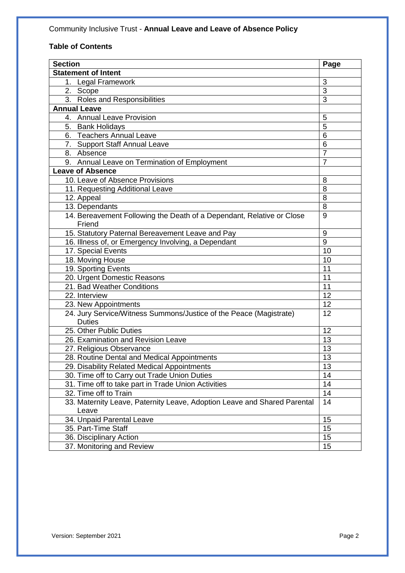# **Table of Contents**

| <b>Section</b>                                                           | Page           |
|--------------------------------------------------------------------------|----------------|
| <b>Statement of Intent</b>                                               |                |
| 1. Legal Framework                                                       | 3              |
| 2. Scope                                                                 | $\overline{3}$ |
| 3. Roles and Responsibilities                                            | $\overline{3}$ |
| <b>Annual Leave</b>                                                      |                |
| 4. Annual Leave Provision                                                | 5              |
| 5. Bank Holidays                                                         | 5              |
| 6. Teachers Annual Leave                                                 | 6              |
| 7. Support Staff Annual Leave                                            | 6              |
| 8. Absence                                                               | $\overline{7}$ |
| 9. Annual Leave on Termination of Employment                             | $\overline{7}$ |
| <b>Leave of Absence</b>                                                  |                |
| 10. Leave of Absence Provisions                                          | 8              |
| 11. Requesting Additional Leave                                          | 8              |
| 12. Appeal                                                               | 8              |
| 13. Dependants                                                           | 8              |
| 14. Bereavement Following the Death of a Dependant, Relative or Close    | 9              |
| Friend                                                                   |                |
| 15. Statutory Paternal Bereavement Leave and Pay                         | 9              |
| 16. Illness of, or Emergency Involving, a Dependant                      | $\overline{9}$ |
| 17. Special Events                                                       | 10             |
| 18. Moving House                                                         | 10             |
| 19. Sporting Events                                                      | 11             |
| 20. Urgent Domestic Reasons                                              | 11             |
| 21. Bad Weather Conditions                                               | 11             |
| 22. Interview                                                            | 12             |
| 23. New Appointments                                                     | 12             |
| 24. Jury Service/Witness Summons/Justice of the Peace (Magistrate)       | 12             |
| <b>Duties</b>                                                            |                |
| 25. Other Public Duties                                                  | 12             |
| 26. Examination and Revision Leave                                       | 13             |
| 27. Religious Observance                                                 | 13             |
| 28. Routine Dental and Medical Appointments                              | 13             |
| 29. Disability Related Medical Appointments                              | 13             |
| 30. Time off to Carry out Trade Union Duties                             | 14             |
| 31. Time off to take part in Trade Union Activities                      | 14             |
| 32. Time off to Train                                                    | 14             |
| 33. Maternity Leave, Paternity Leave, Adoption Leave and Shared Parental | 14             |
| Leave                                                                    |                |
| 34. Unpaid Parental Leave                                                | 15             |
| 35. Part-Time Staff                                                      | 15             |
| 36. Disciplinary Action                                                  | 15             |
| 37. Monitoring and Review                                                | 15             |
|                                                                          |                |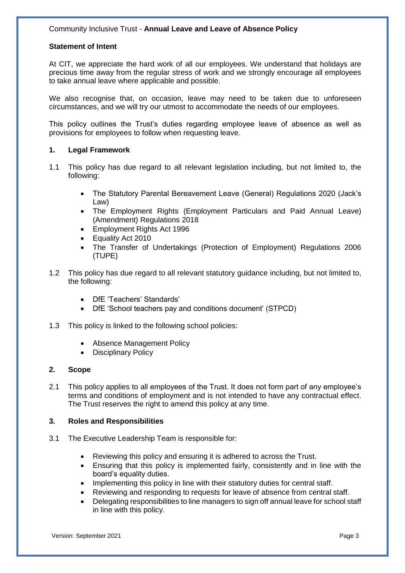#### **Statement of Intent**

At CIT, we appreciate the hard work of all our employees. We understand that holidays are precious time away from the regular stress of work and we strongly encourage all employees to take annual leave where applicable and possible.

We also recognise that, on occasion, leave may need to be taken due to unforeseen circumstances, and we will try our utmost to accommodate the needs of our employees.

This policy outlines the Trust's duties regarding employee leave of absence as well as provisions for employees to follow when requesting leave.

#### **1. Legal Framework**

- 1.1 This policy has due regard to all relevant legislation including, but not limited to, the following:
	- The Statutory Parental Bereavement Leave (General) Regulations 2020 (Jack's Law)
	- The Employment Rights (Employment Particulars and Paid Annual Leave) (Amendment) Regulations 2018
	- Employment Rights Act 1996
	- Equality Act 2010
	- The Transfer of Undertakings (Protection of Employment) Regulations 2006 (TUPE)
- 1.2 This policy has due regard to all relevant statutory guidance including, but not limited to, the following:
	- DfE 'Teachers' Standards'
	- DfE 'School teachers pay and conditions document' (STPCD)
- 1.3 This policy is linked to the following school policies:
	- Absence Management Policy
	- Disciplinary Policy

#### **2. Scope**

2.1 This policy applies to all employees of the Trust. It does not form part of any employee's terms and conditions of employment and is not intended to have any contractual effect. The Trust reserves the right to amend this policy at any time.

#### **3. Roles and Responsibilities**

- 3.1 The Executive Leadership Team is responsible for:
	- Reviewing this policy and ensuring it is adhered to across the Trust.
	- Ensuring that this policy is implemented fairly, consistently and in line with the board's equality duties.
	- Implementing this policy in line with their statutory duties for central staff.
	- Reviewing and responding to requests for leave of absence from central staff.
	- Delegating responsibilities to line managers to sign off annual leave for school staff in line with this policy.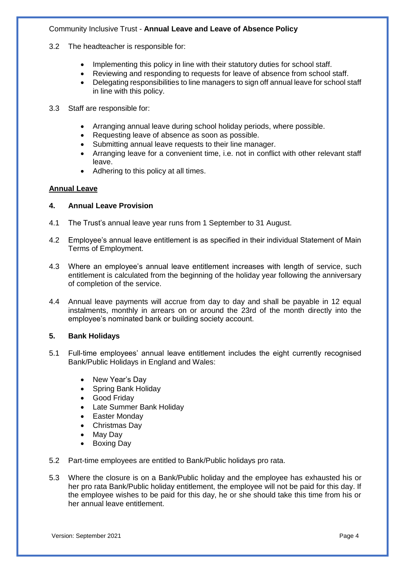- 3.2 The headteacher is responsible for:
	- Implementing this policy in line with their statutory duties for school staff.
	- Reviewing and responding to requests for leave of absence from school staff.
	- Delegating responsibilities to line managers to sign off annual leave for school staff in line with this policy.
- 3.3 Staff are responsible for:
	- Arranging annual leave during school holiday periods, where possible.
	- Requesting leave of absence as soon as possible.
	- Submitting annual leave requests to their line manager.
	- Arranging leave for a convenient time, i.e. not in conflict with other relevant staff leave.
	- Adhering to this policy at all times.

# **Annual Leave**

# **4. Annual Leave Provision**

- 4.1 The Trust's annual leave year runs from 1 September to 31 August.
- 4.2 Employee's annual leave entitlement is as specified in their individual Statement of Main Terms of Employment.
- 4.3 Where an employee's annual leave entitlement increases with length of service, such entitlement is calculated from the beginning of the holiday year following the anniversary of completion of the service.
- 4.4 Annual leave payments will accrue from day to day and shall be payable in 12 equal instalments, monthly in arrears on or around the 23rd of the month directly into the employee's nominated bank or building society account.

# **5. Bank Holidays**

- 5.1 Full-time employees' annual leave entitlement includes the eight currently recognised Bank/Public Holidays in England and Wales:
	- New Year's Day
	- Spring Bank Holiday
	- Good Friday
	- Late Summer Bank Holiday
	- Easter Monday
	- Christmas Day
	- May Day
	- Boxing Day
- 5.2 Part-time employees are entitled to Bank/Public holidays pro rata.
- 5.3 Where the closure is on a Bank/Public holiday and the employee has exhausted his or her pro rata Bank/Public holiday entitlement, the employee will not be paid for this day. If the employee wishes to be paid for this day, he or she should take this time from his or her annual leave entitlement.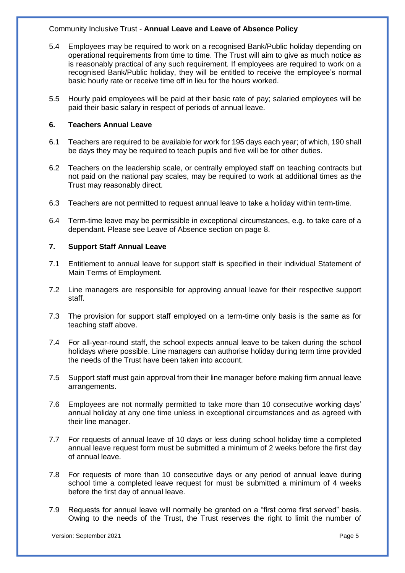- 5.4 Employees may be required to work on a recognised Bank/Public holiday depending on operational requirements from time to time. The Trust will aim to give as much notice as is reasonably practical of any such requirement. If employees are required to work on a recognised Bank/Public holiday, they will be entitled to receive the employee's normal basic hourly rate or receive time off in lieu for the hours worked.
- 5.5 Hourly paid employees will be paid at their basic rate of pay; salaried employees will be paid their basic salary in respect of periods of annual leave.

#### **6. Teachers Annual Leave**

- 6.1 Teachers are required to be available for work for 195 days each year; of which, 190 shall be days they may be required to teach pupils and five will be for other duties.
- 6.2 Teachers on the leadership scale, or centrally employed staff on teaching contracts but not paid on the national pay scales, may be required to work at additional times as the Trust may reasonably direct.
- 6.3 Teachers are not permitted to request annual leave to take a holiday within term-time.
- 6.4 Term-time leave may be permissible in exceptional circumstances, e.g. to take care of a dependant. Please see Leave of Absence section on page 8.

#### **7. Support Staff Annual Leave**

- 7.1 Entitlement to annual leave for support staff is specified in their individual Statement of Main Terms of Employment.
- 7.2 Line managers are responsible for approving annual leave for their respective support staff.
- 7.3 The provision for support staff employed on a term-time only basis is the same as for teaching staff above.
- 7.4 For all-year-round staff, the school expects annual leave to be taken during the school holidays where possible. Line managers can authorise holiday during term time provided the needs of the Trust have been taken into account.
- 7.5 Support staff must gain approval from their line manager before making firm annual leave arrangements.
- 7.6 Employees are not normally permitted to take more than 10 consecutive working days' annual holiday at any one time unless in exceptional circumstances and as agreed with their line manager.
- 7.7 For requests of annual leave of 10 days or less during school holiday time a completed annual leave request form must be submitted a minimum of 2 weeks before the first day of annual leave.
- 7.8 For requests of more than 10 consecutive days or any period of annual leave during school time a completed leave request for must be submitted a minimum of 4 weeks before the first day of annual leave.
- 7.9 Requests for annual leave will normally be granted on a "first come first served" basis. Owing to the needs of the Trust, the Trust reserves the right to limit the number of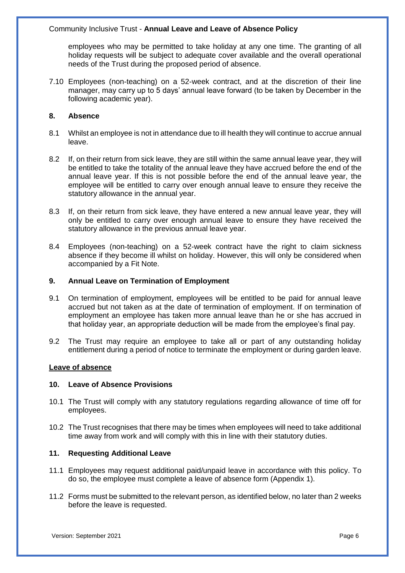employees who may be permitted to take holiday at any one time. The granting of all holiday requests will be subject to adequate cover available and the overall operational needs of the Trust during the proposed period of absence.

7.10 Employees (non-teaching) on a 52-week contract, and at the discretion of their line manager, may carry up to 5 days' annual leave forward (to be taken by December in the following academic year).

#### **8. Absence**

- 8.1 Whilst an employee is not in attendance due to ill health they will continue to accrue annual leave.
- 8.2 If, on their return from sick leave, they are still within the same annual leave year, they will be entitled to take the totality of the annual leave they have accrued before the end of the annual leave year. If this is not possible before the end of the annual leave year, the employee will be entitled to carry over enough annual leave to ensure they receive the statutory allowance in the annual year.
- 8.3 If, on their return from sick leave, they have entered a new annual leave year, they will only be entitled to carry over enough annual leave to ensure they have received the statutory allowance in the previous annual leave year.
- 8.4 Employees (non-teaching) on a 52-week contract have the right to claim sickness absence if they become ill whilst on holiday. However, this will only be considered when accompanied by a Fit Note.

#### **9. Annual Leave on Termination of Employment**

- 9.1 On termination of employment, employees will be entitled to be paid for annual leave accrued but not taken as at the date of termination of employment. If on termination of employment an employee has taken more annual leave than he or she has accrued in that holiday year, an appropriate deduction will be made from the employee's final pay.
- 9.2 The Trust may require an employee to take all or part of any outstanding holiday entitlement during a period of notice to terminate the employment or during garden leave.

#### **Leave of absence**

#### **10. Leave of Absence Provisions**

- 10.1 The Trust will comply with any statutory regulations regarding allowance of time off for employees.
- 10.2 The Trust recognises that there may be times when employees will need to take additional time away from work and will comply with this in line with their statutory duties.

#### **11. Requesting Additional Leave**

- 11.1 Employees may request additional paid/unpaid leave in accordance with this policy. To do so, the employee must complete a leave of absence form (Appendix 1).
- 11.2 Forms must be submitted to the relevant person, as identified below, no later than 2 weeks before the leave is requested.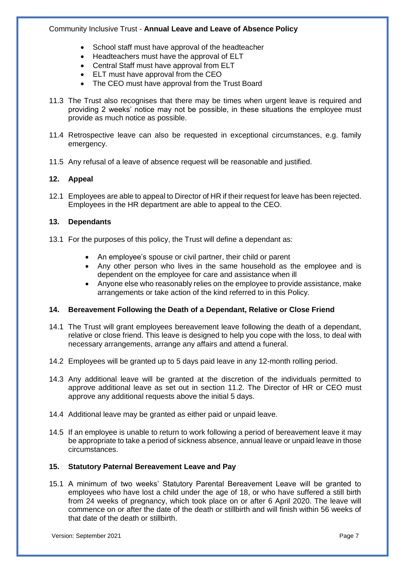- School staff must have approval of the headteacher
- Headteachers must have the approval of ELT
- Central Staff must have approval from ELT
- ELT must have approval from the CEO
- The CEO must have approval from the Trust Board
- 11.3 The Trust also recognises that there may be times when urgent leave is required and providing 2 weeks' notice may not be possible, in these situations the employee must provide as much notice as possible.
- 11.4 Retrospective leave can also be requested in exceptional circumstances, e.g. family emergency.
- 11.5 Any refusal of a leave of absence request will be reasonable and justified.

# **12. Appeal**

12.1 Employees are able to appeal to Director of HR if their request for leave has been rejected. Employees in the HR department are able to appeal to the CEO.

# **13. Dependants**

- 13.1 For the purposes of this policy, the Trust will define a dependant as:
	- An employee's spouse or civil partner, their child or parent
	- Any other person who lives in the same household as the employee and is dependent on the employee for care and assistance when ill
	- Anyone else who reasonably relies on the employee to provide assistance, make arrangements or take action of the kind referred to in this Policy.

# **14. Bereavement Following the Death of a Dependant, Relative or Close Friend**

- 14.1 The Trust will grant employees bereavement leave following the death of a dependant, relative or close friend. This leave is designed to help you cope with the loss, to deal with necessary arrangements, arrange any affairs and attend a funeral.
- 14.2 Employees will be granted up to 5 days paid leave in any 12-month rolling period.
- 14.3 Any additional leave will be granted at the discretion of the individuals permitted to approve additional leave as set out in section 11.2. The Director of HR or CEO must approve any additional requests above the initial 5 days.
- 14.4 Additional leave may be granted as either paid or unpaid leave.
- 14.5 If an employee is unable to return to work following a period of bereavement leave it may be appropriate to take a period of sickness absence, annual leave or unpaid leave in those circumstances.

# **15. Statutory Paternal Bereavement Leave and Pay**

15.1 A minimum of two weeks' Statutory Parental Bereavement Leave will be granted to employees who have lost a child under the age of 18, or who have suffered a still birth from 24 weeks of pregnancy, which took place on or after 6 April 2020. The leave will commence on or after the date of the death or stillbirth and will finish within 56 weeks of that date of the death or stillbirth.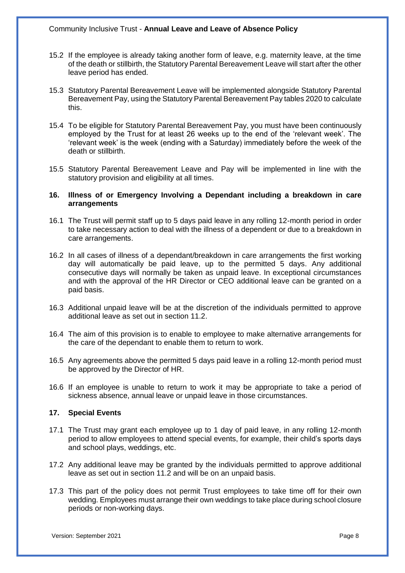- 15.2 If the employee is already taking another form of leave, e.g. maternity leave, at the time of the death or stillbirth, the Statutory Parental Bereavement Leave will start after the other leave period has ended.
- 15.3 Statutory Parental Bereavement Leave will be implemented alongside Statutory Parental Bereavement Pay, using the Statutory Parental Bereavement Pay tables 2020 to calculate this.
- 15.4 To be eligible for Statutory Parental Bereavement Pay, you must have been continuously employed by the Trust for at least 26 weeks up to the end of the 'relevant week'. The 'relevant week' is the week (ending with a Saturday) immediately before the week of the death or stillbirth.
- 15.5 Statutory Parental Bereavement Leave and Pay will be implemented in line with the statutory provision and eligibility at all times.

#### **16. Illness of or Emergency Involving a Dependant including a breakdown in care arrangements**

- 16.1 The Trust will permit staff up to 5 days paid leave in any rolling 12-month period in order to take necessary action to deal with the illness of a dependent or due to a breakdown in care arrangements.
- 16.2 In all cases of illness of a dependant/breakdown in care arrangements the first working day will automatically be paid leave, up to the permitted 5 days. Any additional consecutive days will normally be taken as unpaid leave. In exceptional circumstances and with the approval of the HR Director or CEO additional leave can be granted on a paid basis.
- 16.3 Additional unpaid leave will be at the discretion of the individuals permitted to approve additional leave as set out in section 11.2.
- 16.4 The aim of this provision is to enable to employee to make alternative arrangements for the care of the dependant to enable them to return to work.
- 16.5 Any agreements above the permitted 5 days paid leave in a rolling 12-month period must be approved by the Director of HR.
- 16.6 If an employee is unable to return to work it may be appropriate to take a period of sickness absence, annual leave or unpaid leave in those circumstances.

#### **17. Special Events**

- 17.1 The Trust may grant each employee up to 1 day of paid leave, in any rolling 12-month period to allow employees to attend special events, for example, their child's sports days and school plays, weddings, etc.
- 17.2 Any additional leave may be granted by the individuals permitted to approve additional leave as set out in section 11.2 and will be on an unpaid basis.
- 17.3 This part of the policy does not permit Trust employees to take time off for their own wedding. Employees must arrange their own weddings to take place during school closure periods or non-working days.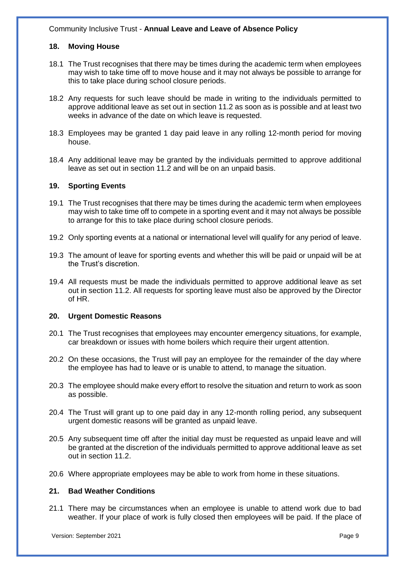#### **18. Moving House**

- 18.1 The Trust recognises that there may be times during the academic term when employees may wish to take time off to move house and it may not always be possible to arrange for this to take place during school closure periods.
- 18.2 Any requests for such leave should be made in writing to the individuals permitted to approve additional leave as set out in section 11.2 as soon as is possible and at least two weeks in advance of the date on which leave is requested.
- 18.3 Employees may be granted 1 day paid leave in any rolling 12-month period for moving house.
- 18.4 Any additional leave may be granted by the individuals permitted to approve additional leave as set out in section 11.2 and will be on an unpaid basis.

#### **19. Sporting Events**

- 19.1 The Trust recognises that there may be times during the academic term when employees may wish to take time off to compete in a sporting event and it may not always be possible to arrange for this to take place during school closure periods.
- 19.2 Only sporting events at a national or international level will qualify for any period of leave.
- 19.3 The amount of leave for sporting events and whether this will be paid or unpaid will be at the Trust's discretion.
- 19.4 All requests must be made the individuals permitted to approve additional leave as set out in section 11.2. All requests for sporting leave must also be approved by the Director of HR.

#### **20. Urgent Domestic Reasons**

- 20.1 The Trust recognises that employees may encounter emergency situations, for example, car breakdown or issues with home boilers which require their urgent attention.
- 20.2 On these occasions, the Trust will pay an employee for the remainder of the day where the employee has had to leave or is unable to attend, to manage the situation.
- 20.3 The employee should make every effort to resolve the situation and return to work as soon as possible.
- 20.4 The Trust will grant up to one paid day in any 12-month rolling period, any subsequent urgent domestic reasons will be granted as unpaid leave.
- 20.5 Any subsequent time off after the initial day must be requested as unpaid leave and will be granted at the discretion of the individuals permitted to approve additional leave as set out in section 11.2.
- 20.6 Where appropriate employees may be able to work from home in these situations.

#### **21. Bad Weather Conditions**

21.1 There may be circumstances when an employee is unable to attend work due to bad weather. If your place of work is fully closed then employees will be paid. If the place of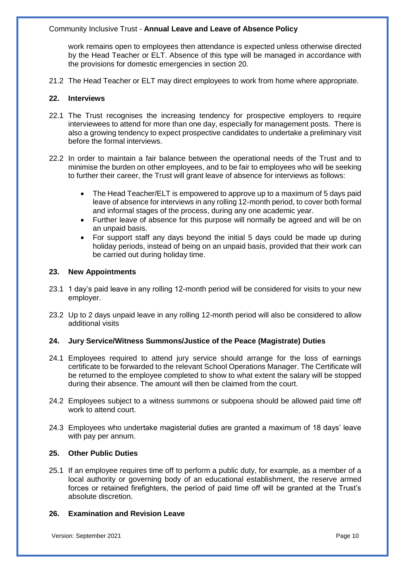work remains open to employees then attendance is expected unless otherwise directed by the Head Teacher or ELT. Absence of this type will be managed in accordance with the provisions for domestic emergencies in section 20.

21.2 The Head Teacher or ELT may direct employees to work from home where appropriate.

#### **22. Interviews**

- 22.1 The Trust recognises the increasing tendency for prospective employers to require interviewees to attend for more than one day, especially for management posts. There is also a growing tendency to expect prospective candidates to undertake a preliminary visit before the formal interviews.
- 22.2 In order to maintain a fair balance between the operational needs of the Trust and to minimise the burden on other employees, and to be fair to employees who will be seeking to further their career, the Trust will grant leave of absence for interviews as follows:
	- The Head Teacher/ELT is empowered to approve up to a maximum of 5 days paid leave of absence for interviews in any rolling 12-month period, to cover both formal and informal stages of the process, during any one academic year.
	- Further leave of absence for this purpose will normally be agreed and will be on an unpaid basis.
	- For support staff any days beyond the initial 5 days could be made up during holiday periods, instead of being on an unpaid basis, provided that their work can be carried out during holiday time.

#### **23. New Appointments**

- 23.1 1 day's paid leave in any rolling 12-month period will be considered for visits to your new employer.
- 23.2 Up to 2 days unpaid leave in any rolling 12-month period will also be considered to allow additional visits

# **24. Jury Service/Witness Summons/Justice of the Peace (Magistrate) Duties**

- 24.1 Employees required to attend jury service should arrange for the loss of earnings certificate to be forwarded to the relevant School Operations Manager. The Certificate will be returned to the employee completed to show to what extent the salary will be stopped during their absence. The amount will then be claimed from the court.
- 24.2 Employees subject to a witness summons or subpoena should be allowed paid time off work to attend court.
- 24.3 Employees who undertake magisterial duties are granted a maximum of 18 days' leave with pay per annum.

# **25. Other Public Duties**

25.1 If an employee requires time off to perform a public duty, for example, as a member of a local authority or governing body of an educational establishment, the reserve armed forces or retained firefighters, the period of paid time off will be granted at the Trust's absolute discretion.

#### **26. Examination and Revision Leave**

Version: September 2021 **Page 10** Page 10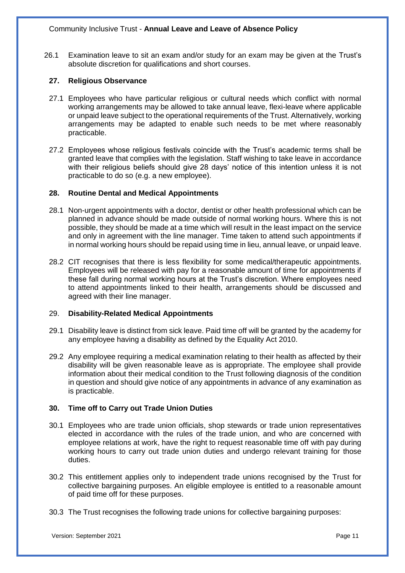26.1 Examination leave to sit an exam and/or study for an exam may be given at the Trust's absolute discretion for qualifications and short courses.

#### **27. Religious Observance**

- 27.1 Employees who have particular religious or cultural needs which conflict with normal working arrangements may be allowed to take annual leave, flexi-leave where applicable or unpaid leave subject to the operational requirements of the Trust. Alternatively, working arrangements may be adapted to enable such needs to be met where reasonably practicable.
- 27.2 Employees whose religious festivals coincide with the Trust's academic terms shall be granted leave that complies with the legislation. Staff wishing to take leave in accordance with their religious beliefs should give 28 days' notice of this intention unless it is not practicable to do so (e.g. a new employee).

#### **28. Routine Dental and Medical Appointments**

- 28.1 Non-urgent appointments with a doctor, dentist or other health professional which can be planned in advance should be made outside of normal working hours. Where this is not possible, they should be made at a time which will result in the least impact on the service and only in agreement with the line manager. Time taken to attend such appointments if in normal working hours should be repaid using time in lieu, annual leave, or unpaid leave.
- 28.2 CIT recognises that there is less flexibility for some medical/therapeutic appointments. Employees will be released with pay for a reasonable amount of time for appointments if these fall during normal working hours at the Trust's discretion. Where employees need to attend appointments linked to their health, arrangements should be discussed and agreed with their line manager.

#### 29. **Disability-Related Medical Appointments**

- 29.1 Disability leave is distinct from sick leave. Paid time off will be granted by the academy for any employee having a disability as defined by the Equality Act 2010.
- 29.2 Any employee requiring a medical examination relating to their health as affected by their disability will be given reasonable leave as is appropriate. The employee shall provide information about their medical condition to the Trust following diagnosis of the condition in question and should give notice of any appointments in advance of any examination as is practicable.

# **30. Time off to Carry out Trade Union Duties**

- 30.1 Employees who are trade union officials, shop stewards or trade union representatives elected in accordance with the rules of the trade union, and who are concerned with employee relations at work, have the right to request reasonable time off with pay during working hours to carry out trade union duties and undergo relevant training for those duties.
- 30.2 This entitlement applies only to independent trade unions recognised by the Trust for collective bargaining purposes. An eligible employee is entitled to a reasonable amount of paid time off for these purposes.
- 30.3 The Trust recognises the following trade unions for collective bargaining purposes: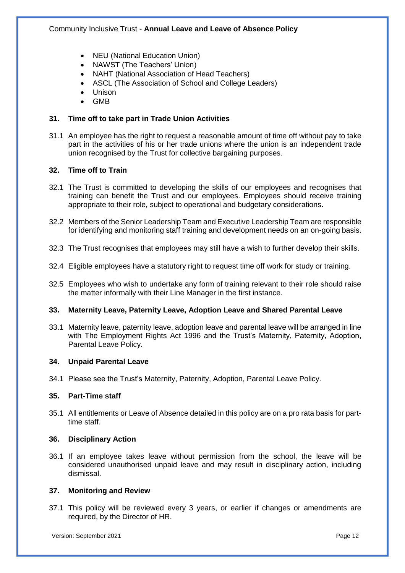- NEU (National Education Union)
- NAWST (The Teachers' Union)
- NAHT (National Association of Head Teachers)
- ASCL (The Association of School and College Leaders)
- Unison
- GMB

# **31. Time off to take part in Trade Union Activities**

31.1 An employee has the right to request a reasonable amount of time off without pay to take part in the activities of his or her trade unions where the union is an independent trade union recognised by the Trust for collective bargaining purposes.

#### **32. Time off to Train**

- 32.1 The Trust is committed to developing the skills of our employees and recognises that training can benefit the Trust and our employees. Employees should receive training appropriate to their role, subject to operational and budgetary considerations.
- 32.2 Members of the Senior Leadership Team and Executive Leadership Team are responsible for identifying and monitoring staff training and development needs on an on-going basis.
- 32.3 The Trust recognises that employees may still have a wish to further develop their skills.
- 32.4 Eligible employees have a statutory right to request time off work for study or training.
- 32.5 Employees who wish to undertake any form of training relevant to their role should raise the matter informally with their Line Manager in the first instance.

#### **33. Maternity Leave, Paternity Leave, Adoption Leave and Shared Parental Leave**

33.1 Maternity leave, paternity leave, adoption leave and parental leave will be arranged in line with The Employment Rights Act 1996 and the Trust's Maternity, Paternity, Adoption, Parental Leave Policy.

#### **34. Unpaid Parental Leave**

34.1 Please see the Trust's Maternity, Paternity, Adoption, Parental Leave Policy.

#### **35. Part-Time staff**

35.1 All entitlements or Leave of Absence detailed in this policy are on a pro rata basis for parttime staff.

#### **36. Disciplinary Action**

36.1 If an employee takes leave without permission from the school, the leave will be considered unauthorised unpaid leave and may result in disciplinary action, including dismissal.

#### **37. Monitoring and Review**

37.1 This policy will be reviewed every 3 years, or earlier if changes or amendments are required, by the Director of HR.

Version: September 2021 **Page 12** Page 12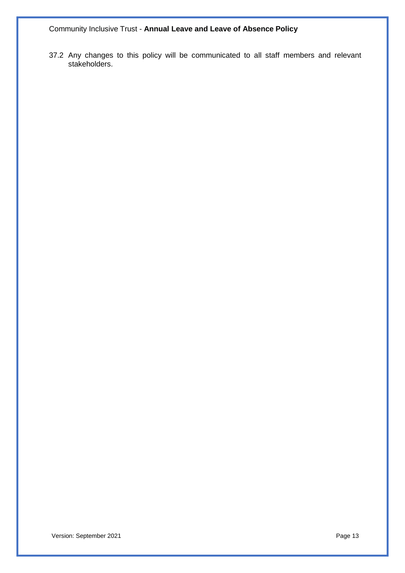37.2 Any changes to this policy will be communicated to all staff members and relevant stakeholders.

Version: September 2021 **Page 13**